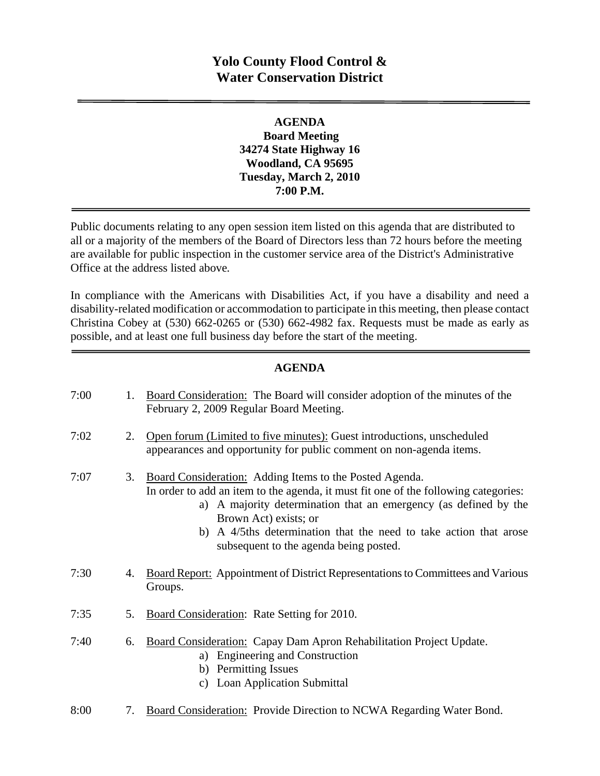## **Yolo County Flood Control & Water Conservation District**

## **AGENDA Board Meeting 34274 State Highway 16 Woodland, CA 95695 Tuesday, March 2, 2010 7:00 P.M.**

Public documents relating to any open session item listed on this agenda that are distributed to all or a majority of the members of the Board of Directors less than 72 hours before the meeting are available for public inspection in the customer service area of the District's Administrative Office at the address listed above*.* 

In compliance with the Americans with Disabilities Act, if you have a disability and need a disability-related modification or accommodation to participate in this meeting, then please contact Christina Cobey at (530) 662-0265 or (530) 662-4982 fax. Requests must be made as early as possible, and at least one full business day before the start of the meeting.

## **AGENDA**

| 7:00 | 1. | Board Consideration: The Board will consider adoption of the minutes of the<br>February 2, 2009 Regular Board Meeting.                                                                                                                                                                                                                                        |
|------|----|---------------------------------------------------------------------------------------------------------------------------------------------------------------------------------------------------------------------------------------------------------------------------------------------------------------------------------------------------------------|
| 7:02 | 2. | Open forum (Limited to five minutes): Guest introductions, unscheduled<br>appearances and opportunity for public comment on non-agenda items.                                                                                                                                                                                                                 |
| 7:07 | 3. | Board Consideration: Adding Items to the Posted Agenda.<br>In order to add an item to the agenda, it must fit one of the following categories:<br>a) A majority determination that an emergency (as defined by the<br>Brown Act) exists; or<br>A 4/5ths determination that the need to take action that arose<br>b)<br>subsequent to the agenda being posted. |
| 7:30 | 4. | <b>Board Report:</b> Appointment of District Representations to Committees and Various<br>Groups.                                                                                                                                                                                                                                                             |
| 7:35 | 5. | <b>Board Consideration:</b> Rate Setting for 2010.                                                                                                                                                                                                                                                                                                            |
| 7:40 | 6. | Board Consideration: Capay Dam Apron Rehabilitation Project Update.<br><b>Engineering and Construction</b><br>a)<br>b) Permitting Issues<br><b>Loan Application Submittal</b><br>C)                                                                                                                                                                           |
| 8:00 | 7. | <b>Board Consideration:</b> Provide Direction to NCWA Regarding Water Bond.                                                                                                                                                                                                                                                                                   |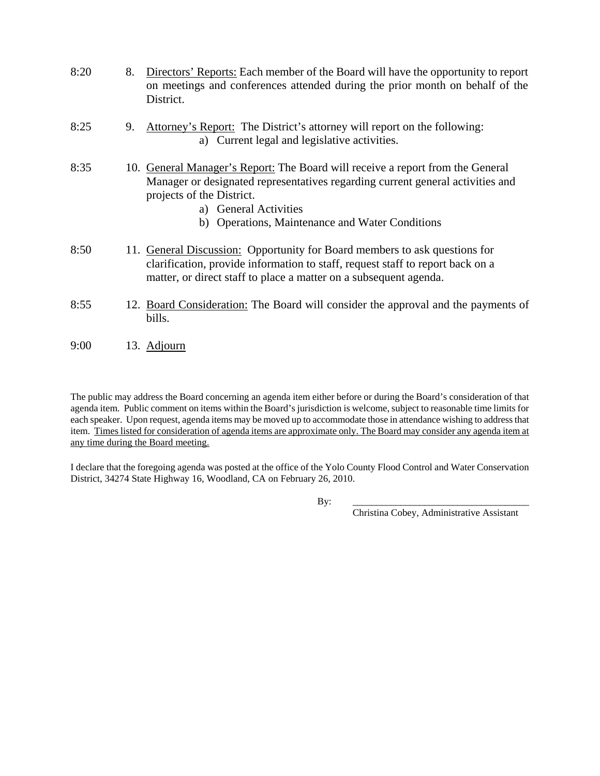| 8:20 | 8. | Directors' Reports: Each member of the Board will have the opportunity to report<br>on meetings and conferences attended during the prior month on behalf of the<br>District.                                          |
|------|----|------------------------------------------------------------------------------------------------------------------------------------------------------------------------------------------------------------------------|
| 8:25 | 9. | Attorney's Report: The District's attorney will report on the following:<br>a) Current legal and legislative activities.                                                                                               |
| 8:35 |    | 10. General Manager's Report: The Board will receive a report from the General<br>Manager or designated representatives regarding current general activities and<br>projects of the District.<br>a) General Activities |

- b) Operations, Maintenance and Water Conditions
- 8:50 11. General Discussion: Opportunity for Board members to ask questions for clarification, provide information to staff, request staff to report back on a matter, or direct staff to place a matter on a subsequent agenda.
- 8:55 12. Board Consideration: The Board will consider the approval and the payments of bills.
- 9:00 13. Adjourn

The public may address the Board concerning an agenda item either before or during the Board's consideration of that agenda item. Public comment on items within the Board's jurisdiction is welcome, subject to reasonable time limits for each speaker. Upon request, agenda items may be moved up to accommodate those in attendance wishing to address that item. Times listed for consideration of agenda items are approximate only. The Board may consider any agenda item at any time during the Board meeting.

I declare that the foregoing agenda was posted at the office of the Yolo County Flood Control and Water Conservation District, 34274 State Highway 16, Woodland, CA on February 26, 2010.

By: \_\_\_\_\_\_\_\_\_\_\_\_\_\_\_\_\_\_\_\_\_\_\_\_\_\_\_\_\_\_\_\_\_\_\_\_\_

Christina Cobey, Administrative Assistant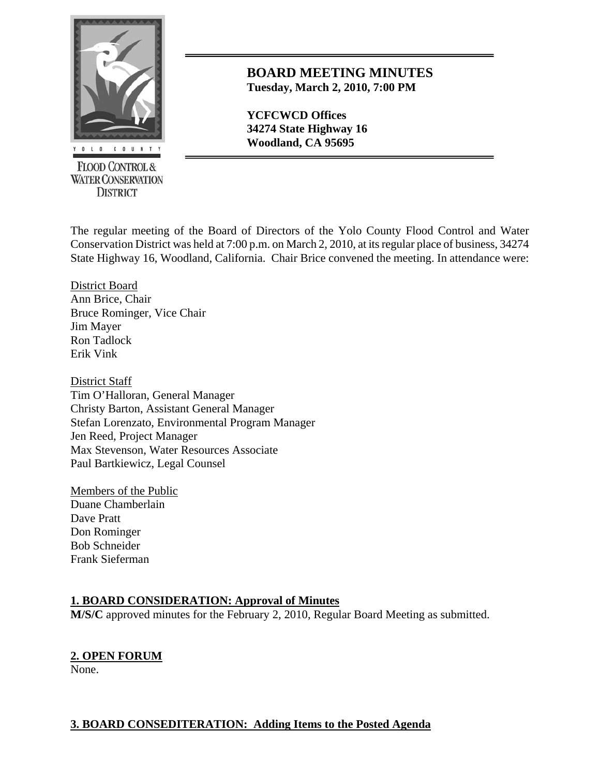

**FLOOD CONTROL & WATER CONSERVATION DISTRICT** 

## **BOARD MEETING MINUTES Tuesday, March 2, 2010, 7:00 PM**

**YCFCWCD Offices 34274 State Highway 16**  *<u><b>Woodland, CA 95695 Woodland, CA 95695*</u>

The regular meeting of the Board of Directors of the Yolo County Flood Control and Water Conservation District was held at 7:00 p.m. on March 2, 2010, at its regular place of business, 34274 State Highway 16, Woodland, California. Chair Brice convened the meeting. In attendance were:

District Board Ann Brice, Chair Bruce Rominger, Vice Chair Jim Mayer Ron Tadlock Erik Vink

District Staff Tim O'Halloran, General Manager Christy Barton, Assistant General Manager Stefan Lorenzato, Environmental Program Manager Jen Reed, Project Manager Max Stevenson, Water Resources Associate Paul Bartkiewicz, Legal Counsel

Members of the Public Duane Chamberlain Dave Pratt Don Rominger Bob Schneider Frank Sieferman

## **1. BOARD CONSIDERATION: Approval of Minutes**

**M/S/C** approved minutes for the February 2, 2010, Regular Board Meeting as submitted.

# **2. OPEN FORUM**

None.

## **3. BOARD CONSEDITERATION: Adding Items to the Posted Agenda**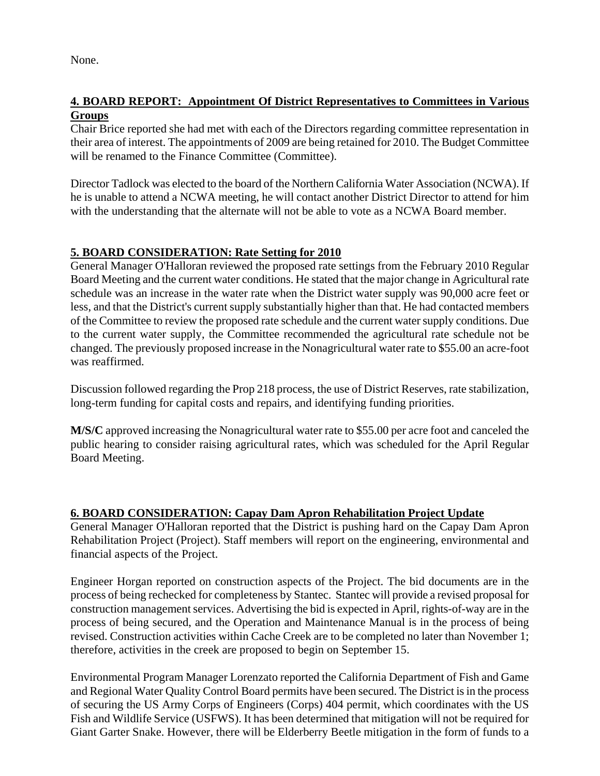None.

## **4. BOARD REPORT: Appointment Of District Representatives to Committees in Various Groups**

Chair Brice reported she had met with each of the Directors regarding committee representation in their area of interest. The appointments of 2009 are being retained for 2010. The Budget Committee will be renamed to the Finance Committee (Committee).

Director Tadlock was elected to the board of the Northern California Water Association (NCWA). If he is unable to attend a NCWA meeting, he will contact another District Director to attend for him with the understanding that the alternate will not be able to vote as a NCWA Board member.

## **5. BOARD CONSIDERATION: Rate Setting for 2010**

General Manager O'Halloran reviewed the proposed rate settings from the February 2010 Regular Board Meeting and the current water conditions. He stated that the major change in Agricultural rate schedule was an increase in the water rate when the District water supply was 90,000 acre feet or less, and that the District's current supply substantially higher than that. He had contacted members of the Committee to review the proposed rate schedule and the current water supply conditions. Due to the current water supply, the Committee recommended the agricultural rate schedule not be changed. The previously proposed increase in the Nonagricultural water rate to \$55.00 an acre-foot was reaffirmed.

Discussion followed regarding the Prop 218 process, the use of District Reserves, rate stabilization, long-term funding for capital costs and repairs, and identifying funding priorities.

**M/S/C** approved increasing the Nonagricultural water rate to \$55.00 per acre foot and canceled the public hearing to consider raising agricultural rates, which was scheduled for the April Regular Board Meeting.

## **6. BOARD CONSIDERATION: Capay Dam Apron Rehabilitation Project Update**

General Manager O'Halloran reported that the District is pushing hard on the Capay Dam Apron Rehabilitation Project (Project). Staff members will report on the engineering, environmental and financial aspects of the Project.

Engineer Horgan reported on construction aspects of the Project. The bid documents are in the process of being rechecked for completeness by Stantec. Stantec will provide a revised proposal for construction management services. Advertising the bid is expected in April, rights-of-way are in the process of being secured, and the Operation and Maintenance Manual is in the process of being revised. Construction activities within Cache Creek are to be completed no later than November 1; therefore, activities in the creek are proposed to begin on September 15.

Environmental Program Manager Lorenzato reported the California Department of Fish and Game and Regional Water Quality Control Board permits have been secured. The District is in the process of securing the US Army Corps of Engineers (Corps) 404 permit, which coordinates with the US Fish and Wildlife Service (USFWS). It has been determined that mitigation will not be required for Giant Garter Snake. However, there will be Elderberry Beetle mitigation in the form of funds to a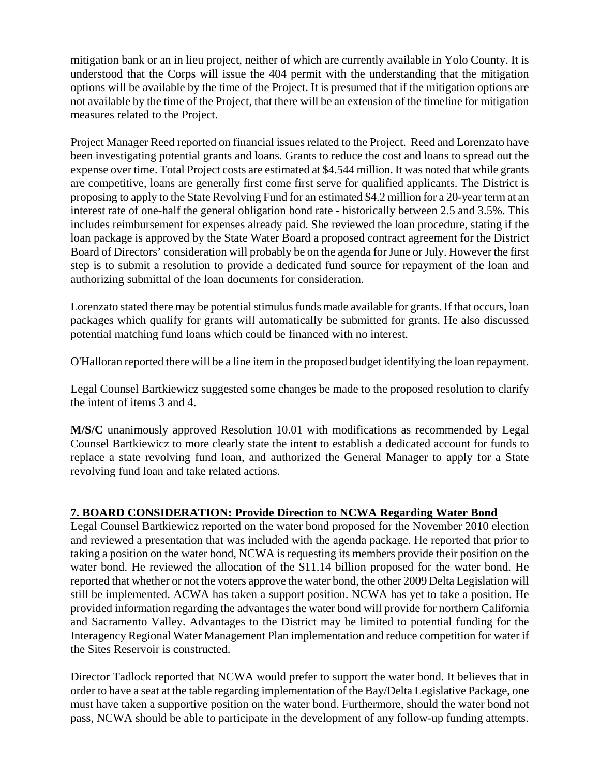mitigation bank or an in lieu project, neither of which are currently available in Yolo County. It is understood that the Corps will issue the 404 permit with the understanding that the mitigation options will be available by the time of the Project. It is presumed that if the mitigation options are not available by the time of the Project, that there will be an extension of the timeline for mitigation measures related to the Project.

Project Manager Reed reported on financial issues related to the Project. Reed and Lorenzato have been investigating potential grants and loans. Grants to reduce the cost and loans to spread out the expense over time. Total Project costs are estimated at \$4.544 million. It was noted that while grants are competitive, loans are generally first come first serve for qualified applicants. The District is proposing to apply to the State Revolving Fund for an estimated \$4.2 million for a 20-year term at an interest rate of one-half the general obligation bond rate - historically between 2.5 and 3.5%. This includes reimbursement for expenses already paid. She reviewed the loan procedure, stating if the loan package is approved by the State Water Board a proposed contract agreement for the District Board of Directors' consideration will probably be on the agenda for June or July. However the first step is to submit a resolution to provide a dedicated fund source for repayment of the loan and authorizing submittal of the loan documents for consideration.

Lorenzato stated there may be potential stimulus funds made available for grants. If that occurs, loan packages which qualify for grants will automatically be submitted for grants. He also discussed potential matching fund loans which could be financed with no interest.

O'Halloran reported there will be a line item in the proposed budget identifying the loan repayment.

Legal Counsel Bartkiewicz suggested some changes be made to the proposed resolution to clarify the intent of items 3 and 4.

**M/S/C** unanimously approved Resolution 10.01 with modifications as recommended by Legal Counsel Bartkiewicz to more clearly state the intent to establish a dedicated account for funds to replace a state revolving fund loan, and authorized the General Manager to apply for a State revolving fund loan and take related actions.

## **7. BOARD CONSIDERATION: Provide Direction to NCWA Regarding Water Bond**

Legal Counsel Bartkiewicz reported on the water bond proposed for the November 2010 election and reviewed a presentation that was included with the agenda package. He reported that prior to taking a position on the water bond, NCWA is requesting its members provide their position on the water bond. He reviewed the allocation of the \$11.14 billion proposed for the water bond. He reported that whether or not the voters approve the water bond, the other 2009 Delta Legislation will still be implemented. ACWA has taken a support position. NCWA has yet to take a position. He provided information regarding the advantages the water bond will provide for northern California and Sacramento Valley. Advantages to the District may be limited to potential funding for the Interagency Regional Water Management Plan implementation and reduce competition for water if the Sites Reservoir is constructed.

Director Tadlock reported that NCWA would prefer to support the water bond. It believes that in order to have a seat at the table regarding implementation of the Bay/Delta Legislative Package, one must have taken a supportive position on the water bond. Furthermore, should the water bond not pass, NCWA should be able to participate in the development of any follow-up funding attempts.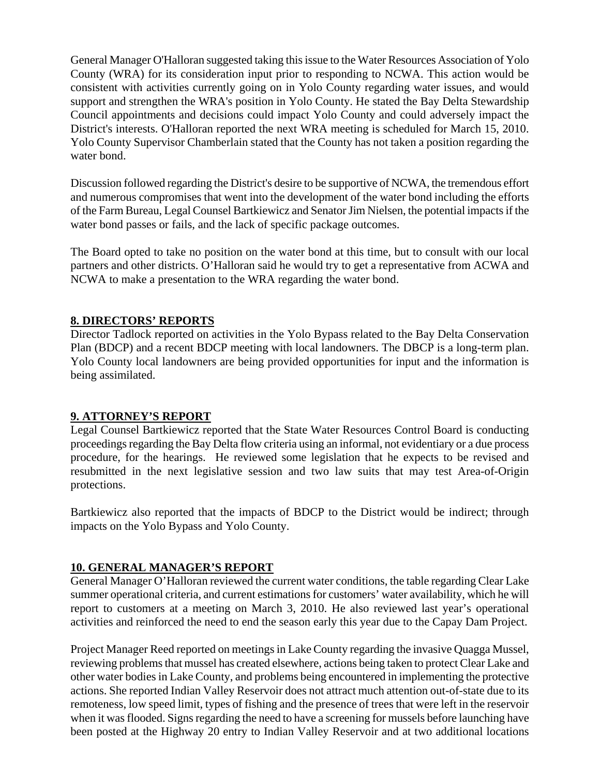General Manager O'Halloran suggested taking this issue to the Water Resources Association of Yolo County (WRA) for its consideration input prior to responding to NCWA. This action would be consistent with activities currently going on in Yolo County regarding water issues, and would support and strengthen the WRA's position in Yolo County. He stated the Bay Delta Stewardship Council appointments and decisions could impact Yolo County and could adversely impact the District's interests. O'Halloran reported the next WRA meeting is scheduled for March 15, 2010. Yolo County Supervisor Chamberlain stated that the County has not taken a position regarding the water bond.

Discussion followed regarding the District's desire to be supportive of NCWA, the tremendous effort and numerous compromises that went into the development of the water bond including the efforts of the Farm Bureau, Legal Counsel Bartkiewicz and Senator Jim Nielsen, the potential impacts if the water bond passes or fails, and the lack of specific package outcomes.

The Board opted to take no position on the water bond at this time, but to consult with our local partners and other districts. O'Halloran said he would try to get a representative from ACWA and NCWA to make a presentation to the WRA regarding the water bond.

#### **8. DIRECTORS' REPORTS**

Director Tadlock reported on activities in the Yolo Bypass related to the Bay Delta Conservation Plan (BDCP) and a recent BDCP meeting with local landowners. The DBCP is a long-term plan. Yolo County local landowners are being provided opportunities for input and the information is being assimilated.

## **9. ATTORNEY'S REPORT**

Legal Counsel Bartkiewicz reported that the State Water Resources Control Board is conducting proceedings regarding the Bay Delta flow criteria using an informal, not evidentiary or a due process procedure, for the hearings. He reviewed some legislation that he expects to be revised and resubmitted in the next legislative session and two law suits that may test Area-of-Origin protections.

Bartkiewicz also reported that the impacts of BDCP to the District would be indirect; through impacts on the Yolo Bypass and Yolo County.

## **10. GENERAL MANAGER'S REPORT**

General Manager O'Halloran reviewed the current water conditions, the table regarding Clear Lake summer operational criteria, and current estimations for customers' water availability, which he will report to customers at a meeting on March 3, 2010. He also reviewed last year's operational activities and reinforced the need to end the season early this year due to the Capay Dam Project.

Project Manager Reed reported on meetings in Lake County regarding the invasive Quagga Mussel, reviewing problems that mussel has created elsewhere, actions being taken to protect Clear Lake and other water bodies in Lake County, and problems being encountered in implementing the protective actions. She reported Indian Valley Reservoir does not attract much attention out-of-state due to its remoteness, low speed limit, types of fishing and the presence of trees that were left in the reservoir when it was flooded. Signs regarding the need to have a screening for mussels before launching have been posted at the Highway 20 entry to Indian Valley Reservoir and at two additional locations